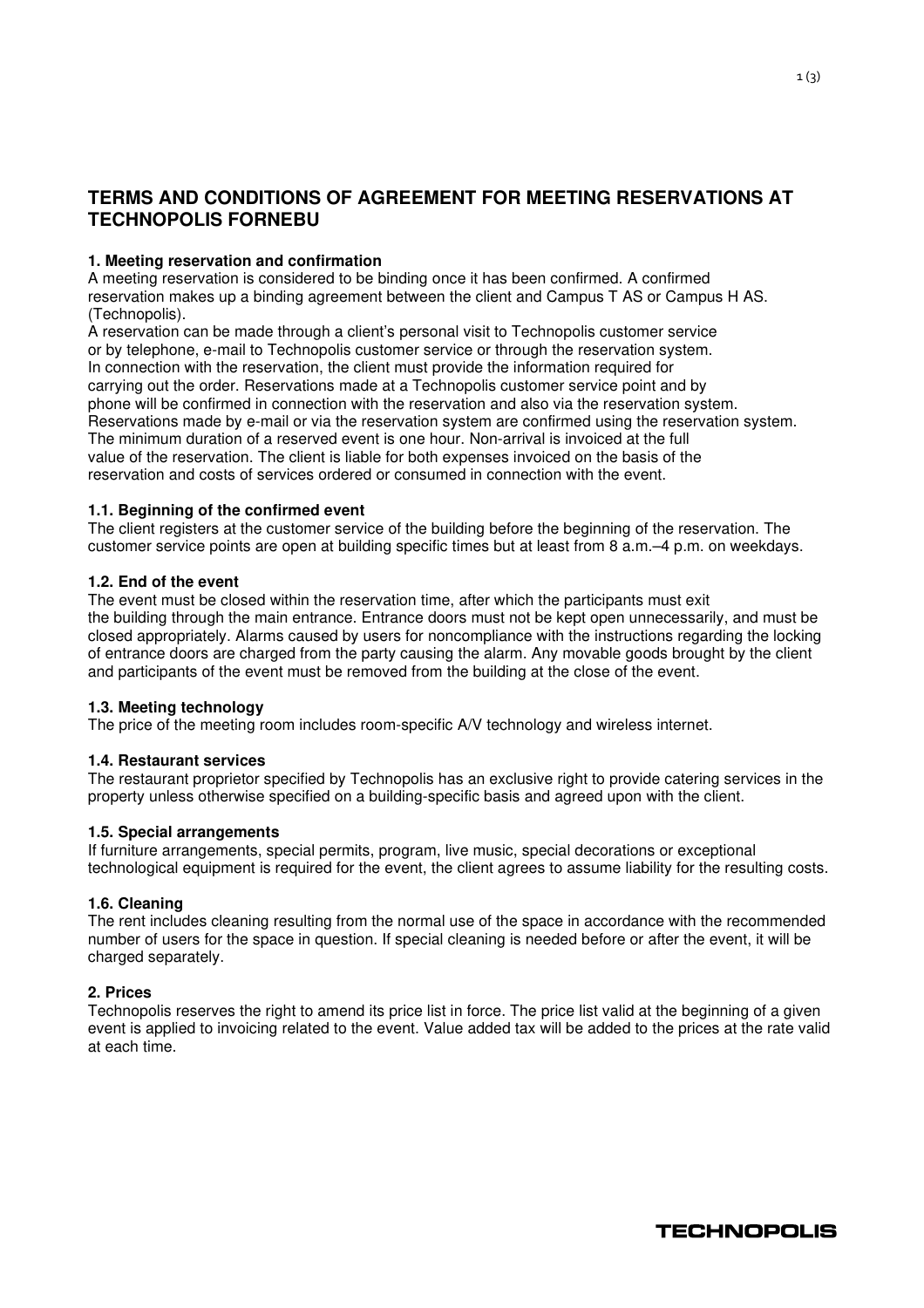# **TERMS AND CONDITIONS OF AGREEMENT FOR MEETING RESERVATIONS AT TECHNOPOLIS FORNEBU**

# **1. Meeting reservation and confirmation**

A meeting reservation is considered to be binding once it has been confirmed. A confirmed reservation makes up a binding agreement between the client and Campus T AS or Campus H AS. (Technopolis).

A reservation can be made through a client's personal visit to Technopolis customer service or by telephone, e-mail to Technopolis customer service or through the reservation system. In connection with the reservation, the client must provide the information required for carrying out the order. Reservations made at a Technopolis customer service point and by phone will be confirmed in connection with the reservation and also via the reservation system. Reservations made by e-mail or via the reservation system are confirmed using the reservation system. The minimum duration of a reserved event is one hour. Non-arrival is invoiced at the full value of the reservation. The client is liable for both expenses invoiced on the basis of the reservation and costs of services ordered or consumed in connection with the event.

### **1.1. Beginning of the confirmed event**

The client registers at the customer service of the building before the beginning of the reservation. The customer service points are open at building specific times but at least from 8 a.m.–4 p.m. on weekdays.

# **1.2. End of the event**

The event must be closed within the reservation time, after which the participants must exit the building through the main entrance. Entrance doors must not be kept open unnecessarily, and must be closed appropriately. Alarms caused by users for noncompliance with the instructions regarding the locking of entrance doors are charged from the party causing the alarm. Any movable goods brought by the client and participants of the event must be removed from the building at the close of the event.

### **1.3. Meeting technology**

The price of the meeting room includes room-specific A/V technology and wireless internet.

### **1.4. Restaurant services**

The restaurant proprietor specified by Technopolis has an exclusive right to provide catering services in the property unless otherwise specified on a building-specific basis and agreed upon with the client.

### **1.5. Special arrangements**

If furniture arrangements, special permits, program, live music, special decorations or exceptional technological equipment is required for the event, the client agrees to assume liability for the resulting costs.

### **1.6. Cleaning**

The rent includes cleaning resulting from the normal use of the space in accordance with the recommended number of users for the space in question. If special cleaning is needed before or after the event, it will be charged separately.

# **2. Prices**

Technopolis reserves the right to amend its price list in force. The price list valid at the beginning of a given event is applied to invoicing related to the event. Value added tax will be added to the prices at the rate valid at each time.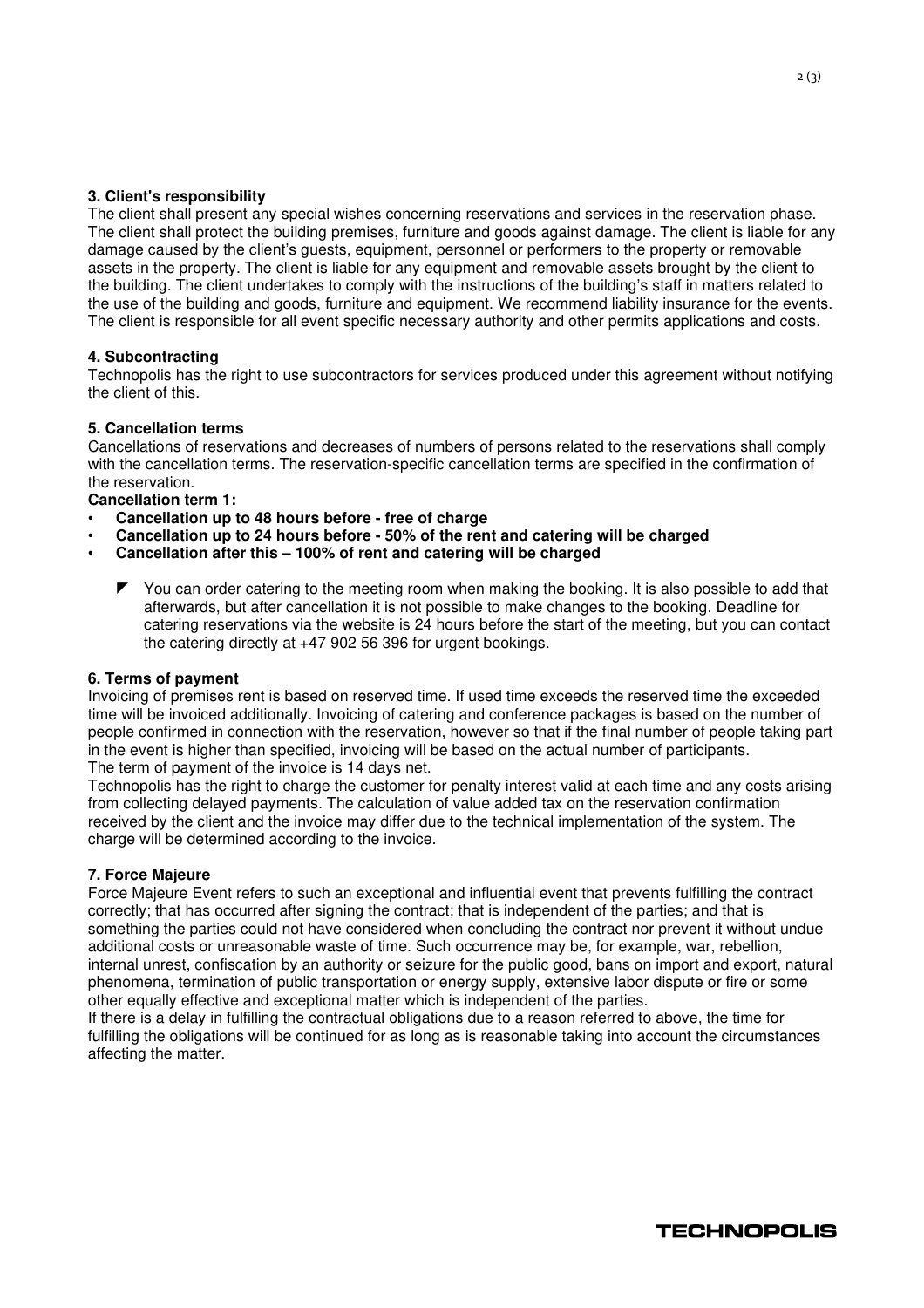# **3. Client's responsibility**

The client shall present any special wishes concerning reservations and services in the reservation phase. The client shall protect the building premises, furniture and goods against damage. The client is liable for any damage caused by the client's guests, equipment, personnel or performers to the property or removable assets in the property. The client is liable for any equipment and removable assets brought by the client to the building. The client undertakes to comply with the instructions of the building's staff in matters related to the use of the building and goods, furniture and equipment. We recommend liability insurance for the events. The client is responsible for all event specific necessary authority and other permits applications and costs.

# **4. Subcontracting**

Technopolis has the right to use subcontractors for services produced under this agreement without notifying the client of this.

### **5. Cancellation terms**

Cancellations of reservations and decreases of numbers of persons related to the reservations shall comply with the cancellation terms. The reservation-specific cancellation terms are specified in the confirmation of the reservation.

# **Cancellation term 1:**

- **Cancellation up to 48 hours before free of charge**
- **Cancellation up to 24 hours before 50% of the rent and catering will be charged**
- **Cancellation after this 100% of rent and catering will be charged** 
	- You can order catering to the meeting room when making the booking. It is also possible to add that afterwards, but after cancellation it is not possible to make changes to the booking. Deadline for catering reservations via the website is 24 hours before the start of the meeting, but you can contact the catering directly at +47 902 56 396 for urgent bookings.

### **6. Terms of payment**

Invoicing of premises rent is based on reserved time. If used time exceeds the reserved time the exceeded time will be invoiced additionally. Invoicing of catering and conference packages is based on the number of people confirmed in connection with the reservation, however so that if the final number of people taking part in the event is higher than specified, invoicing will be based on the actual number of participants. The term of payment of the invoice is 14 days net.

Technopolis has the right to charge the customer for penalty interest valid at each time and any costs arising from collecting delayed payments. The calculation of value added tax on the reservation confirmation received by the client and the invoice may differ due to the technical implementation of the system. The charge will be determined according to the invoice.

# **7. Force Majeure**

Force Majeure Event refers to such an exceptional and influential event that prevents fulfilling the contract correctly; that has occurred after signing the contract; that is independent of the parties; and that is something the parties could not have considered when concluding the contract nor prevent it without undue additional costs or unreasonable waste of time. Such occurrence may be, for example, war, rebellion, internal unrest, confiscation by an authority or seizure for the public good, bans on import and export, natural phenomena, termination of public transportation or energy supply, extensive labor dispute or fire or some other equally effective and exceptional matter which is independent of the parties.

If there is a delay in fulfilling the contractual obligations due to a reason referred to above, the time for fulfilling the obligations will be continued for as long as is reasonable taking into account the circumstances affecting the matter.